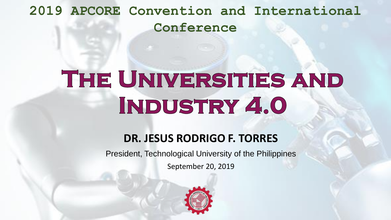**2019 APCORE Convention and International Conference**

# THE UNIVERSITIES AND INDUSTRY 4.0

#### **DR. JESUS RODRIGO F. TORRES**

President, Technological University of the Philippines

September 20, 2019

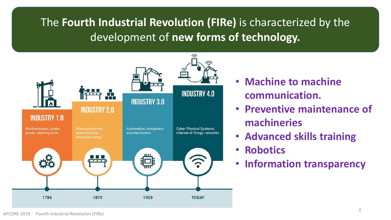#### The **Fourth Industrial Revolution (FIRe)** is characterized by the development of **new forms of technology.**



- **Machine to machine communication.**
- **Preventive maintenance of machineries**
- **Advanced skills training**
- **Robotics**
- **Information transparency**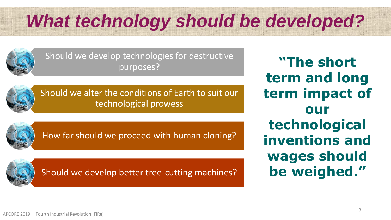## *What technology should be developed?*



Should we develop technologies for destructive purposes?



Should we alter the conditions of Earth to suit our technological prowess



How far should we proceed with human cloning?



Should we develop better tree-cutting machines?

**"The short term and long term impact of our technological inventions and wages should be weighed."**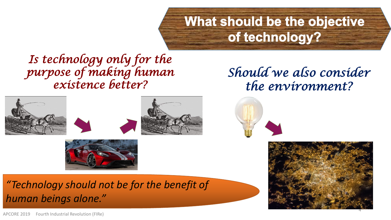## What should be the objective of technology?

*Should we also consider* 

*the environment?*

*Is technology only for the purpose of making human existence better?*

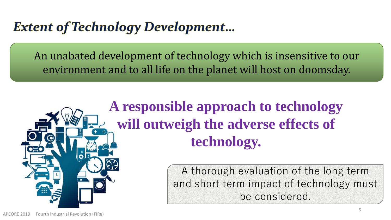### **Extent of Technology Development...**

An unabated development of technology which is insensitive to our environment and to all life on the planet will host on doomsday.

## **A responsible approach to technology will outweigh the adverse effects of technology.**

A thorough evaluation of the long term and short term impact of technology must be considered.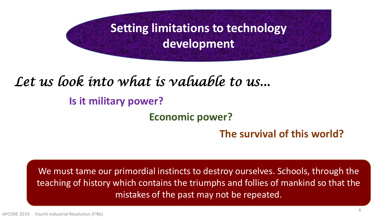**Setting limitations to technology development**

### *Let us look into what is valuable to us...*

#### **Is it military power?**

**Economic power?** 

**The survival of this world?** 

We must tame our primordial instincts to destroy ourselves. Schools, through the teaching of history which contains the triumphs and follies of mankind so that the mistakes of the past may not be repeated.